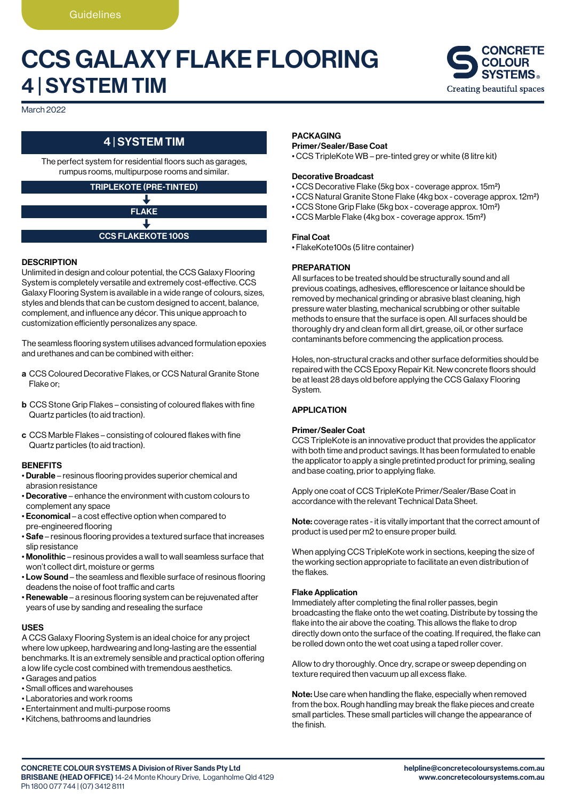# CCS GALAXY FLAKE FLOORING 4 | SYSTEM TIM



March 2022

### 4 | SYSTEM TIM

The perfect system for residential floors such as garages, rumpus rooms, multipurpose rooms and similar.

#### TRIPLEKOTE (PRE-TINTED) J

FLAKE

### CCS FLAKEKOTE 100S

#### **DESCRIPTION**

Unlimited in design and colour potential, the CCS Galaxy Flooring System is completely versatile and extremely cost-effective. CCS Galaxy Flooring System is available in a wide range of colours, sizes, styles and blends that can be custom designed to accent, balance, complement, and influence any décor. This unique approach to customization efficiently personalizes any space.

The seamless flooring system utilises advanced formulation epoxies and urethanes and can be combined with either:

- a CCS Coloured Decorative Flakes, or CCS Natural Granite Stone Flake or;
- b CCS Stone Grip Flakes consisting of coloured flakes with fine Quartz particles (to aid traction).
- c CCS Marble Flakes consisting of coloured flakes with fine Quartz particles (to aid traction).

#### **BENEFITS**

- Durable resinous flooring provides superior chemical and abrasion resistance
- Decorative enhance the environment with custom colours to complement any space
- Economical a cost effective option when compared to pre-engineered flooring
- Safe resinous flooring provides a textured surface that increases slip resistance
- Monolithic resinous provides a wall to wall seamless surface that won't collect dirt, moisture or germs
- Low Sound the seamless and flexible surface of resinous flooring deadens the noise of foot traffic and carts
- Renewable a resinous flooring system can be rejuvenated after years of use by sanding and resealing the surface

#### USES

A CCS Galaxy Flooring System is an ideal choice for any project where low upkeep, hardwearing and long-lasting are the essential benchmarks. It is an extremely sensible and practical option offering a low life cycle cost combined with tremendous aesthetics.

- Garages and patios
- Small offices and warehouses
- Laboratories and work rooms
- Entertainment and multi-purpose rooms
- Kitchens, bathrooms and laundries

#### PACKAGING

#### Primer/Sealer/Base Coat

• CCS TripleKote WB – pre-tinted grey or white (8 litre kit)

#### Decorative Broadcast

- CCS Decorative Flake (5kg box coverage approx. 15m2)
- CCS Natural Granite Stone Flake (4kg box coverage approx. 12m2)
- CCS Stone Grip Flake (5kg box coverage approx. 10m2)
- CCS Marble Flake (4kg box coverage approx. 15m2)

#### Final Coat

• FlakeKote100s (5 litre container)

#### **PREPARATION**

All surfaces to be treated should be structurally sound and all previous coatings, adhesives, efflorescence or laitance should be removed by mechanical grinding or abrasive blast cleaning, high pressure water blasting, mechanical scrubbing or other suitable methods to ensure that the surface is open. All surfaces should be thoroughly dry and clean form all dirt, grease, oil, or other surface contaminants before commencing the application process.

Holes, non-structural cracks and other surface deformities should be repaired with the CCS Epoxy Repair Kit. New concrete floors should be at least 28 days old before applying the CCS Galaxy Flooring System.

#### **APPLICATION**

#### Primer/Sealer Coat

CCS TripleKote is an innovative product that provides the applicator with both time and product savings. It has been formulated to enable the applicator to apply a single pretinted product for priming, sealing and base coating, prior to applying flake.

Apply one coat of CCS TripleKote Primer/Sealer/Base Coat in accordance with the relevant Technical Data Sheet.

Note: coverage rates - it is vitally important that the correct amount of product is used per m2 to ensure proper build.

When applying CCS TripleKote work in sections, keeping the size of the working section appropriate to facilitate an even distribution of the flakes.

#### Flake Application

Immediately after completing the final roller passes, begin broadcasting the flake onto the wet coating. Distribute by tossing the flake into the air above the coating. This allows the flake to drop directly down onto the surface of the coating. If required, the flake can be rolled down onto the wet coat using a taped roller cover.

Allow to dry thoroughly. Once dry, scrape or sweep depending on texture required then vacuum up all excess flake.

Note: Use care when handling the flake, especially when removed from the box. Rough handling may break the flake pieces and create small particles. These small particles will change the appearance of the finish.